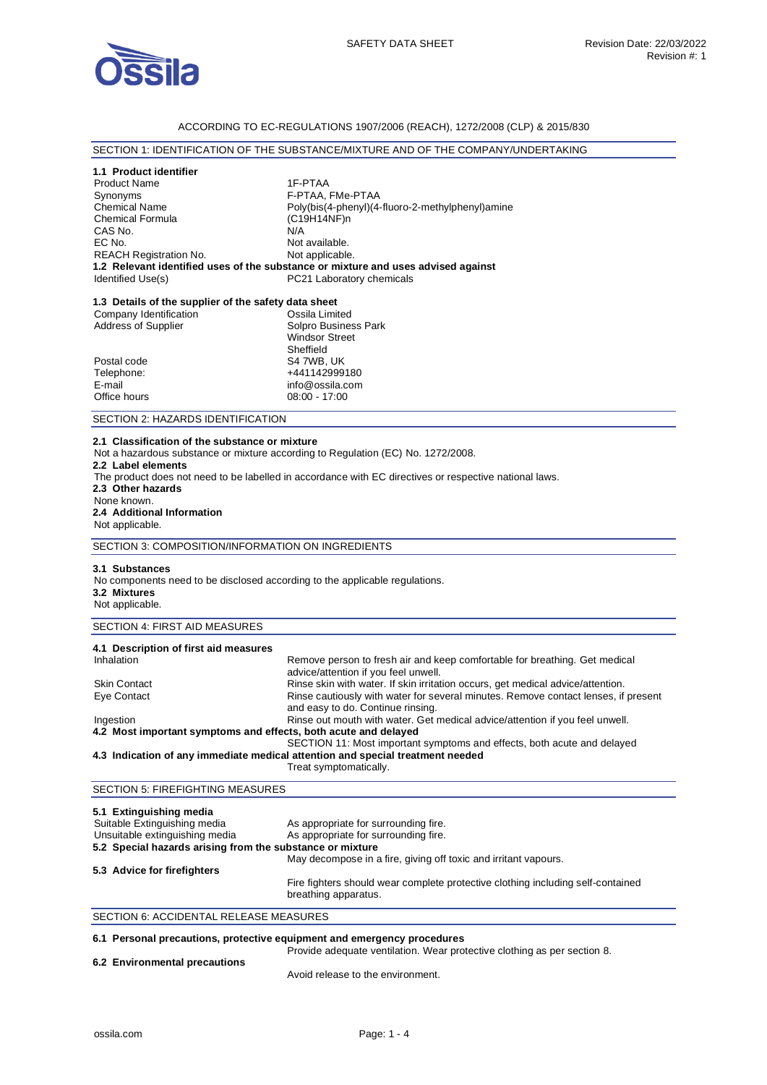

### ACCORDING TO EC-REGULATIONS 1907/2006 (REACH), 1272/2008 (CLP) & 2015/830

# SECTION 1: IDENTIFICATION OF THE SUBSTANCE/MIXTURE AND OF THE COMPANY/UNDERTAKING

#### **1.1 Product identifier**

| <b>Product Name</b>           | 1F-PTAA                                                                           |
|-------------------------------|-----------------------------------------------------------------------------------|
| Synonyms                      | F-PTAA, FMe-PTAA                                                                  |
| <b>Chemical Name</b>          | Poly(bis(4-phenyl)(4-fluoro-2-methylphenyl)amine                                  |
| <b>Chemical Formula</b>       | $(C19H14NF)$ n                                                                    |
| CAS No.                       | N/A                                                                               |
| EC No.                        | Not available.                                                                    |
| <b>REACH Registration No.</b> | Not applicable.                                                                   |
|                               | 1.2 Relevant identified uses of the substance or mixture and uses advised against |
| Identified Use(s)             | PC21 Laboratory chemicals                                                         |
|                               |                                                                                   |

# **1.3 Details of the supplier of the safety data sheet**

| Company Identification     | Ossila Limited        |
|----------------------------|-----------------------|
| <b>Address of Supplier</b> | Solpro Business Park  |
|                            | <b>Windsor Street</b> |
|                            | Sheffield             |
| Postal code                | S4 7WB, UK            |
| Telephone:                 | +441142999180         |
| E-mail                     | info@ossila.com       |
| Office hours               | $08:00 - 17:00$       |
|                            |                       |

#### SECTION 2: HAZARDS IDENTIFICATION

### **2.1 Classification of the substance or mixture**

Not a hazardous substance or mixture according to Regulation (EC) No. 1272/2008.

#### **2.2 Label elements**

The product does not need to be labelled in accordance with EC directives or respective national laws.

**2.3 Other hazards** 

#### None known. **2.4 Additional Information**  Not applicable.

SECTION 3: COMPOSITION/INFORMATION ON INGREDIENTS

#### **3.1 Substances**

No components need to be disclosed according to the applicable regulations. **3.2 Mixtures** 

# Not applicable.

# SECTION 4: FIRST AID MEASURES

| 4.1 Description of first aid measures                           |                                                                                                                         |
|-----------------------------------------------------------------|-------------------------------------------------------------------------------------------------------------------------|
| Inhalation                                                      | Remove person to fresh air and keep comfortable for breathing. Get medical<br>advice/attention if you feel unwell.      |
| <b>Skin Contact</b>                                             | Rinse skin with water. If skin irritation occurs, get medical advice/attention.                                         |
| Eye Contact                                                     | Rinse cautiously with water for several minutes. Remove contact lenses, if present<br>and easy to do. Continue rinsing. |
| Ingestion                                                       | Rinse out mouth with water. Get medical advice/attention if you feel unwell.                                            |
| 4.2 Most important symptoms and effects, both acute and delayed |                                                                                                                         |
|                                                                 | SECTION 11: Most important symptoms and effects, both acute and delayed                                                 |
|                                                                 | 4.3 Indication of any immediate medical attention and special treatment needed                                          |
|                                                                 | Treat symptomatically.                                                                                                  |

# SECTION 5: FIREFIGHTING MEASURES

| 5.1 Extinguishing media                                   |                                                                                                         |
|-----------------------------------------------------------|---------------------------------------------------------------------------------------------------------|
| Suitable Extinguishing media                              | As appropriate for surrounding fire.                                                                    |
| Unsuitable extinguishing media                            | As appropriate for surrounding fire.                                                                    |
| 5.2 Special hazards arising from the substance or mixture |                                                                                                         |
|                                                           | May decompose in a fire, giving off toxic and irritant vapours.                                         |
| 5.3 Advice for firefighters                               |                                                                                                         |
|                                                           | Fire fighters should wear complete protective clothing including self-contained<br>breathing apparatus. |

### SECTION 6: ACCIDENTAL RELEASE MEASURES

## **6.1 Personal precautions, protective equipment and emergency procedures**

| 6.2 Environmental precautions | Provide adequate ventilation. Wear protective clothing as per section 8. |
|-------------------------------|--------------------------------------------------------------------------|
|                               | Avoid release to the environment.                                        |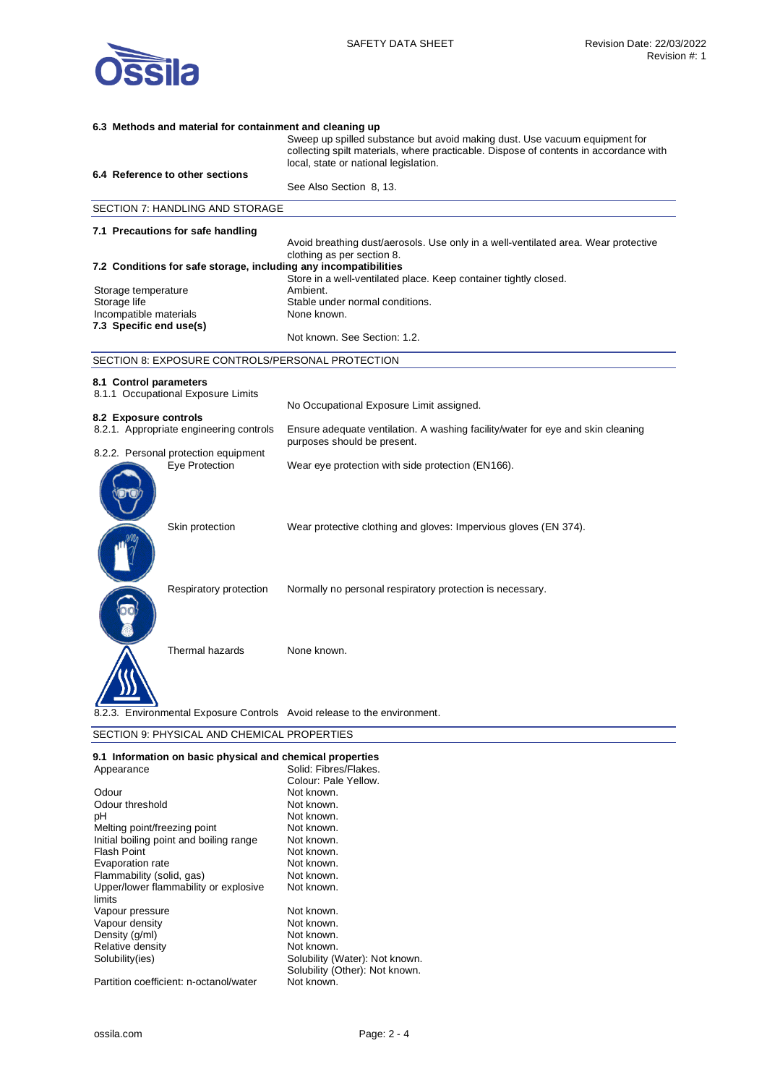

| 6.3 Methods and material for containment and cleaning up                 |                                                                                                                                                                     |
|--------------------------------------------------------------------------|---------------------------------------------------------------------------------------------------------------------------------------------------------------------|
|                                                                          | Sweep up spilled substance but avoid making dust. Use vacuum equipment for<br>collecting spilt materials, where practicable. Dispose of contents in accordance with |
|                                                                          | local, state or national legislation.                                                                                                                               |
| 6.4 Reference to other sections                                          | See Also Section 8, 13.                                                                                                                                             |
|                                                                          |                                                                                                                                                                     |
| SECTION 7: HANDLING AND STORAGE                                          |                                                                                                                                                                     |
| 7.1 Precautions for safe handling                                        |                                                                                                                                                                     |
|                                                                          | Avoid breathing dust/aerosols. Use only in a well-ventilated area. Wear protective<br>clothing as per section 8.                                                    |
| 7.2 Conditions for safe storage, including any incompatibilities         |                                                                                                                                                                     |
|                                                                          | Store in a well-ventilated place. Keep container tightly closed.                                                                                                    |
| Storage temperature                                                      | Ambient.                                                                                                                                                            |
| Storage life                                                             | Stable under normal conditions.                                                                                                                                     |
| Incompatible materials                                                   | None known.                                                                                                                                                         |
| 7.3 Specific end use(s)                                                  |                                                                                                                                                                     |
|                                                                          | Not known. See Section: 1.2.                                                                                                                                        |
| SECTION 8: EXPOSURE CONTROLS/PERSONAL PROTECTION                         |                                                                                                                                                                     |
| 8.1 Control parameters                                                   |                                                                                                                                                                     |
| 8.1.1 Occupational Exposure Limits                                       |                                                                                                                                                                     |
|                                                                          | No Occupational Exposure Limit assigned.                                                                                                                            |
| 8.2 Exposure controls                                                    |                                                                                                                                                                     |
| 8.2.1. Appropriate engineering controls                                  | Ensure adequate ventilation. A washing facility/water for eye and skin cleaning<br>purposes should be present.                                                      |
| 8.2.2. Personal protection equipment                                     |                                                                                                                                                                     |
| Eye Protection                                                           | Wear eye protection with side protection (EN166).                                                                                                                   |
|                                                                          |                                                                                                                                                                     |
|                                                                          |                                                                                                                                                                     |
| Skin protection                                                          | Wear protective clothing and gloves: Impervious gloves (EN 374).                                                                                                    |
|                                                                          |                                                                                                                                                                     |
|                                                                          |                                                                                                                                                                     |
| Respiratory protection                                                   | Normally no personal respiratory protection is necessary.                                                                                                           |
|                                                                          |                                                                                                                                                                     |
|                                                                          |                                                                                                                                                                     |
|                                                                          |                                                                                                                                                                     |
| Thermal hazards                                                          | None known.                                                                                                                                                         |
|                                                                          |                                                                                                                                                                     |
|                                                                          |                                                                                                                                                                     |
| 8.2.3. Environmental Exposure Controls Avoid release to the environment. |                                                                                                                                                                     |
| SECTION 9: PHYSICAL AND CHEMICAL PROPERTIES                              |                                                                                                                                                                     |

| 9.1 Information on basic physical and chemical properties |                                |
|-----------------------------------------------------------|--------------------------------|
| Appearance                                                | Solid: Fibres/Flakes.          |
|                                                           | Colour: Pale Yellow.           |
| Odour                                                     | Not known.                     |
| Odour threshold                                           | Not known.                     |
| рH                                                        | Not known.                     |
| Melting point/freezing point                              | Not known.                     |
| Initial boiling point and boiling range                   | Not known.                     |
| Flash Point                                               | Not known.                     |
| Evaporation rate                                          | Not known.                     |
| Flammability (solid, gas)                                 | Not known.                     |
| Upper/lower flammability or explosive                     | Not known.                     |
| limits                                                    |                                |
| Vapour pressure                                           | Not known.                     |
| Vapour density                                            | Not known.                     |
| Density (g/ml)                                            | Not known.                     |
| Relative density                                          | Not known.                     |
| Solubility(ies)                                           | Solubility (Water): Not known. |
|                                                           | Solubility (Other): Not known. |
| Partition coefficient: n-octanol/water                    | Not known.                     |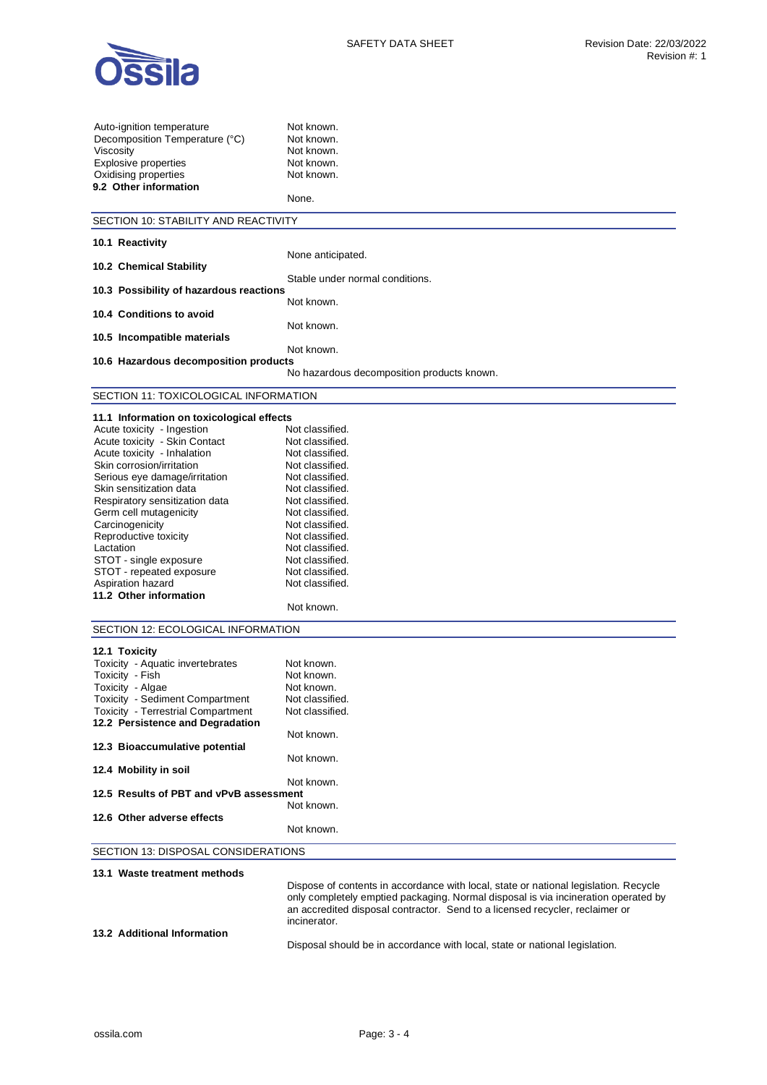

| Auto-ignition temperature                                | Not known.                                                                                                                                                                 |
|----------------------------------------------------------|----------------------------------------------------------------------------------------------------------------------------------------------------------------------------|
| Decomposition Temperature (°C)                           | Not known.                                                                                                                                                                 |
| Viscosity                                                | Not known.                                                                                                                                                                 |
| <b>Explosive properties</b>                              | Not known.                                                                                                                                                                 |
| Oxidising properties                                     | Not known.                                                                                                                                                                 |
| 9.2 Other information                                    |                                                                                                                                                                            |
|                                                          | None.                                                                                                                                                                      |
| SECTION 10: STABILITY AND REACTIVITY                     |                                                                                                                                                                            |
| 10.1 Reactivity                                          |                                                                                                                                                                            |
|                                                          | None anticipated.                                                                                                                                                          |
| 10.2 Chemical Stability                                  |                                                                                                                                                                            |
|                                                          | Stable under normal conditions.                                                                                                                                            |
| 10.3 Possibility of hazardous reactions                  |                                                                                                                                                                            |
|                                                          | Not known.                                                                                                                                                                 |
| 10.4 Conditions to avoid                                 |                                                                                                                                                                            |
| 10.5 Incompatible materials                              | Not known.                                                                                                                                                                 |
|                                                          | Not known.                                                                                                                                                                 |
| 10.6 Hazardous decomposition products                    |                                                                                                                                                                            |
|                                                          | No hazardous decomposition products known.                                                                                                                                 |
|                                                          |                                                                                                                                                                            |
| SECTION 11: TOXICOLOGICAL INFORMATION                    |                                                                                                                                                                            |
| 11.1 Information on toxicological effects                |                                                                                                                                                                            |
| Acute toxicity - Ingestion                               | Not classified.                                                                                                                                                            |
| Acute toxicity - Skin Contact                            | Not classified.                                                                                                                                                            |
| Acute toxicity - Inhalation                              | Not classified.                                                                                                                                                            |
| Skin corrosion/irritation                                | Not classified.                                                                                                                                                            |
| Serious eye damage/irritation                            | Not classified.                                                                                                                                                            |
| Skin sensitization data                                  | Not classified.                                                                                                                                                            |
| Respiratory sensitization data<br>Germ cell mutagenicity | Not classified.<br>Not classified.                                                                                                                                         |
| Carcinogenicity                                          | Not classified.                                                                                                                                                            |
| Reproductive toxicity                                    | Not classified.                                                                                                                                                            |
| Lactation                                                | Not classified.                                                                                                                                                            |
| STOT - single exposure                                   | Not classified.                                                                                                                                                            |
| STOT - repeated exposure                                 | Not classified.                                                                                                                                                            |
| Aspiration hazard                                        | Not classified.                                                                                                                                                            |
| 11.2 Other information                                   |                                                                                                                                                                            |
|                                                          | Not known.                                                                                                                                                                 |
| SECTION 12: ECOLOGICAL INFORMATION                       |                                                                                                                                                                            |
|                                                          |                                                                                                                                                                            |
| 12.1 Toxicity<br>Toxicity - Aquatic invertebrates        | Not known.                                                                                                                                                                 |
| Toxicity - Fish                                          | Not known.                                                                                                                                                                 |
| Toxicity - Algae                                         | Not known.                                                                                                                                                                 |
| Toxicity - Sediment Compartment                          | Not classified.                                                                                                                                                            |
| <b>Toxicity - Terrestrial Compartment</b>                | Not classified.                                                                                                                                                            |
| 12.2 Persistence and Degradation                         |                                                                                                                                                                            |
|                                                          | Not known.                                                                                                                                                                 |
| 12.3 Bioaccumulative potential                           |                                                                                                                                                                            |
|                                                          | Not known.                                                                                                                                                                 |
| 12.4 Mobility in soil                                    |                                                                                                                                                                            |
| 12.5 Results of PBT and vPvB assessment                  | Not known.                                                                                                                                                                 |
|                                                          | Not known.                                                                                                                                                                 |
| 12.6 Other adverse effects                               |                                                                                                                                                                            |
|                                                          | Not known.                                                                                                                                                                 |
| SECTION 13: DISPOSAL CONSIDERATIONS                      |                                                                                                                                                                            |
|                                                          |                                                                                                                                                                            |
| 13.1 Waste treatment methods                             |                                                                                                                                                                            |
|                                                          | Dispose of contents in accordance with local, state or national legislation. Recycle<br>only completely emptied packaging. Normal disposal is via incineration operated by |
|                                                          | an accredited disposal contractor. Send to a licensed recycler, reclaimer or                                                                                               |
|                                                          | incinerator.                                                                                                                                                               |

**13.2 Additional Information** 

Disposal should be in accordance with local, state or national legislation.